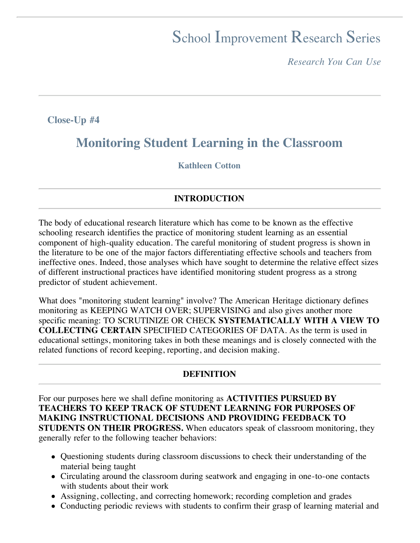# School Improvement Research Series

*Research You Can Use*

**Close-Up #4**

# **Monitoring Student Learning in the Classroom**

#### **Kathleen Cotton**

#### **INTRODUCTION**

The body of educational research literature which has come to be known as the effective schooling research identifies the practice of monitoring student learning as an essential component of high-quality education. The careful monitoring of student progress is shown in the literature to be one of the major factors differentiating effective schools and teachers from ineffective ones. Indeed, those analyses which have sought to determine the relative effect sizes of different instructional practices have identified monitoring student progress as a strong predictor of student achievement.

What does "monitoring student learning" involve? The American Heritage dictionary defines monitoring as KEEPING WATCH OVER; SUPERVISING and also gives another more specific meaning: TO SCRUTINIZE OR CHECK **SYSTEMATICALLY WITH A VIEW TO COLLECTING CERTAIN** SPECIFIED CATEGORIES OF DATA. As the term is used in educational settings, monitoring takes in both these meanings and is closely connected with the related functions of record keeping, reporting, and decision making.

#### **DEFINITION**

For our purposes here we shall define monitoring as **ACTIVITIES PURSUED BY TEACHERS TO KEEP TRACK OF STUDENT LEARNING FOR PURPOSES OF MAKING INSTRUCTIONAL DECISIONS AND PROVIDING FEEDBACK TO STUDENTS ON THEIR PROGRESS.** When educators speak of classroom monitoring, they generally refer to the following teacher behaviors:

- Questioning students during classroom discussions to check their understanding of the material being taught
- Circulating around the classroom during seatwork and engaging in one-to-one contacts with students about their work
- Assigning, collecting, and correcting homework; recording completion and grades
- Conducting periodic reviews with students to confirm their grasp of learning material and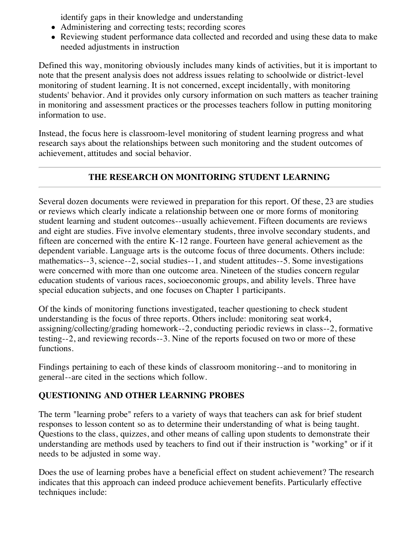identify gaps in their knowledge and understanding

- Administering and correcting tests; recording scores
- Reviewing student performance data collected and recorded and using these data to make needed adjustments in instruction

Defined this way, monitoring obviously includes many kinds of activities, but it is important to note that the present analysis does not address issues relating to schoolwide or district-level monitoring of student learning. It is not concerned, except incidentally, with monitoring students' behavior. And it provides only cursory information on such matters as teacher training in monitoring and assessment practices or the processes teachers follow in putting monitoring information to use.

Instead, the focus here is classroom-level monitoring of student learning progress and what research says about the relationships between such monitoring and the student outcomes of achievement, attitudes and social behavior.

# **THE RESEARCH ON MONITORING STUDENT LEARNING**

Several dozen documents were reviewed in preparation for this report. Of these, 23 are studies or reviews which clearly indicate a relationship between one or more forms of monitoring student learning and student outcomes--usually achievement. Fifteen documents are reviews and eight are studies. Five involve elementary students, three involve secondary students, and fifteen are concerned with the entire K-12 range. Fourteen have general achievement as the dependent variable. Language arts is the outcome focus of three documents. Others include: mathematics--3, science--2, social studies--1, and student attitudes--5. Some investigations were concerned with more than one outcome area. Nineteen of the studies concern regular education students of various races, socioeconomic groups, and ability levels. Three have special education subjects, and one focuses on Chapter 1 participants.

Of the kinds of monitoring functions investigated, teacher questioning to check student understanding is the focus of three reports. Others include: monitoring seat work4, assigning/collecting/grading homework--2, conducting periodic reviews in class--2, formative testing--2, and reviewing records--3. Nine of the reports focused on two or more of these functions.

Findings pertaining to each of these kinds of classroom monitoring--and to monitoring in general--are cited in the sections which follow.

### **QUESTIONING AND OTHER LEARNING PROBES**

The term "learning probe" refers to a variety of ways that teachers can ask for brief student responses to lesson content so as to determine their understanding of what is being taught. Questions to the class, quizzes, and other means of calling upon students to demonstrate their understanding are methods used by teachers to find out if their instruction is "working" or if it needs to be adjusted in some way.

Does the use of learning probes have a beneficial effect on student achievement? The research indicates that this approach can indeed produce achievement benefits. Particularly effective techniques include: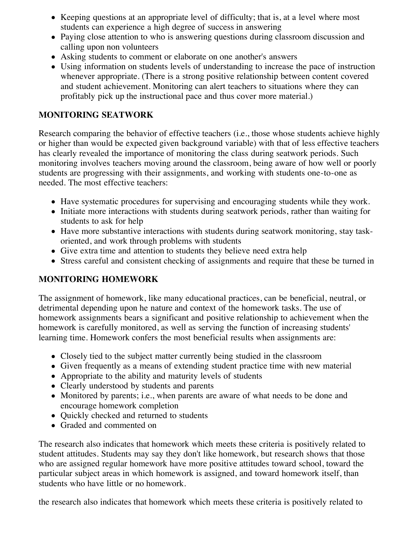- Keeping questions at an appropriate level of difficulty; that is, at a level where most students can experience a high degree of success in answering
- Paying close attention to who is answering questions during classroom discussion and calling upon non volunteers
- Asking students to comment or elaborate on one another's answers
- Using information on students levels of understanding to increase the pace of instruction whenever appropriate. (There is a strong positive relationship between content covered and student achievement. Monitoring can alert teachers to situations where they can profitably pick up the instructional pace and thus cover more material.)

### **MONITORING SEATWORK**

Research comparing the behavior of effective teachers (i.e., those whose students achieve highly or higher than would be expected given background variable) with that of less effective teachers has clearly revealed the importance of monitoring the class during seatwork periods. Such monitoring involves teachers moving around the classroom, being aware of how well or poorly students are progressing with their assignments, and working with students one-to-one as needed. The most effective teachers:

- Have systematic procedures for supervising and encouraging students while they work.
- Initiate more interactions with students during seatwork periods, rather than waiting for students to ask for help
- Have more substantive interactions with students during seatwork monitoring, stay taskoriented, and work through problems with students
- Give extra time and attention to students they believe need extra help
- Stress careful and consistent checking of assignments and require that these be turned in

### **MONITORING HOMEWORK**

The assignment of homework, like many educational practices, can be beneficial, neutral, or detrimental depending upon he nature and context of the homework tasks. The use of homework assignments bears a significant and positive relationship to achievement when the homework is carefully monitored, as well as serving the function of increasing students' learning time. Homework confers the most beneficial results when assignments are:

- Closely tied to the subject matter currently being studied in the classroom
- Given frequently as a means of extending student practice time with new material
- Appropriate to the ability and maturity levels of students
- Clearly understood by students and parents
- Monitored by parents; i.e., when parents are aware of what needs to be done and encourage homework completion
- Ouickly checked and returned to students
- Graded and commented on

The research also indicates that homework which meets these criteria is positively related to student attitudes. Students may say they don't like homework, but research shows that those who are assigned regular homework have more positive attitudes toward school, toward the particular subject areas in which homework is assigned, and toward homework itself, than students who have little or no homework.

the research also indicates that homework which meets these criteria is positively related to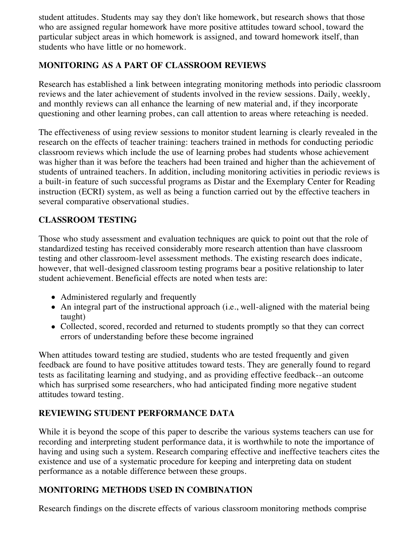student attitudes. Students may say they don't like homework, but research shows that those who are assigned regular homework have more positive attitudes toward school, toward the particular subject areas in which homework is assigned, and toward homework itself, than students who have little or no homework.

# **MONITORING AS A PART OF CLASSROOM REVIEWS**

Research has established a link between integrating monitoring methods into periodic classroom reviews and the later achievement of students involved in the review sessions. Daily, weekly, and monthly reviews can all enhance the learning of new material and, if they incorporate questioning and other learning probes, can call attention to areas where reteaching is needed.

The effectiveness of using review sessions to monitor student learning is clearly revealed in the research on the effects of teacher training: teachers trained in methods for conducting periodic classroom reviews which include the use of learning probes had students whose achievement was higher than it was before the teachers had been trained and higher than the achievement of students of untrained teachers. In addition, including monitoring activities in periodic reviews is a built-in feature of such successful programs as Distar and the Exemplary Center for Reading instruction (ECRI) system, as well as being a function carried out by the effective teachers in several comparative observational studies.

# **CLASSROOM TESTING**

Those who study assessment and evaluation techniques are quick to point out that the role of standardized testing has received considerably more research attention than have classroom testing and other classroom-level assessment methods. The existing research does indicate, however, that well-designed classroom testing programs bear a positive relationship to later student achievement. Beneficial effects are noted when tests are:

- Administered regularly and frequently
- An integral part of the instructional approach (i.e., well-aligned with the material being taught)
- Collected, scored, recorded and returned to students promptly so that they can correct errors of understanding before these become ingrained

When attitudes toward testing are studied, students who are tested frequently and given feedback are found to have positive attitudes toward tests. They are generally found to regard tests as facilitating learning and studying, and as providing effective feedback--an outcome which has surprised some researchers, who had anticipated finding more negative student attitudes toward testing.

### **REVIEWING STUDENT PERFORMANCE DATA**

While it is beyond the scope of this paper to describe the various systems teachers can use for recording and interpreting student performance data, it is worthwhile to note the importance of having and using such a system. Research comparing effective and ineffective teachers cites the existence and use of a systematic procedure for keeping and interpreting data on student performance as a notable difference between these groups.

# **MONITORING METHODS USED IN COMBINATION**

Research findings on the discrete effects of various classroom monitoring methods comprise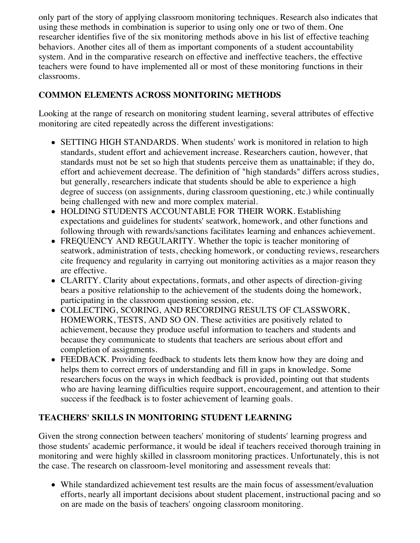only part of the story of applying classroom monitoring techniques. Research also indicates that using these methods in combination is superior to using only one or two of them. One researcher identifies five of the six monitoring methods above in his list of effective teaching behaviors. Another cites all of them as important components of a student accountability system. And in the comparative research on effective and ineffective teachers, the effective teachers were found to have implemented all or most of these monitoring functions in their classrooms.

#### **COMMON ELEMENTS ACROSS MONITORING METHODS**

Looking at the range of research on monitoring student learning, several attributes of effective monitoring are cited repeatedly across the different investigations:

- SETTING HIGH STANDARDS. When students' work is monitored in relation to high standards, student effort and achievement increase. Researchers caution, however, that standards must not be set so high that students perceive them as unattainable; if they do, effort and achievement decrease. The definition of "high standards" differs across studies, but generally, researchers indicate that students should be able to experience a high degree of success (on assignments, during classroom questioning, etc.) while continually being challenged with new and more complex material.
- HOLDING STUDENTS ACCOUNTABLE FOR THEIR WORK. Establishing expectations and guidelines for students' seatwork, homework, and other functions and following through with rewards/sanctions facilitates learning and enhances achievement.
- FREQUENCY AND REGULARITY. Whether the topic is teacher monitoring of seatwork, administration of tests, checking homework, or conducting reviews, researchers cite frequency and regularity in carrying out monitoring activities as a major reason they are effective.
- CLARITY. Clarity about expectations, formats, and other aspects of direction-giving bears a positive relationship to the achievement of the students doing the homework, participating in the classroom questioning session, etc.
- COLLECTING, SCORING, AND RECORDING RESULTS OF CLASSWORK, HOMEWORK, TESTS, AND SO ON. These activities are positively related to achievement, because they produce useful information to teachers and students and because they communicate to students that teachers are serious about effort and completion of assignments.
- FEEDBACK. Providing feedback to students lets them know how they are doing and helps them to correct errors of understanding and fill in gaps in knowledge. Some researchers focus on the ways in which feedback is provided, pointing out that students who are having learning difficulties require support, encouragement, and attention to their success if the feedback is to foster achievement of learning goals.

### **TEACHERS' SKILLS IN MONITORING STUDENT LEARNING**

Given the strong connection between teachers' monitoring of students' learning progress and those students' academic performance, it would be ideal if teachers received thorough training in monitoring and were highly skilled in classroom monitoring practices. Unfortunately, this is not the case. The research on classroom-level monitoring and assessment reveals that:

While standardized achievement test results are the main focus of assessment/evaluation efforts, nearly all important decisions about student placement, instructional pacing and so on are made on the basis of teachers' ongoing classroom monitoring.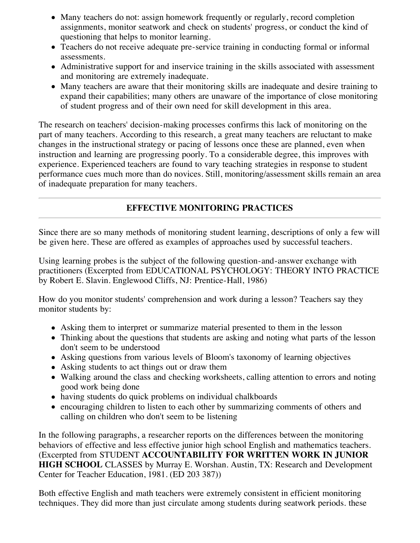- Many teachers do not: assign homework frequently or regularly, record completion assignments, monitor seatwork and check on students' progress, or conduct the kind of questioning that helps to monitor learning.
- Teachers do not receive adequate pre-service training in conducting formal or informal assessments.
- Administrative support for and inservice training in the skills associated with assessment and monitoring are extremely inadequate.
- Many teachers are aware that their monitoring skills are inadequate and desire training to expand their capabilities; many others are unaware of the importance of close monitoring of student progress and of their own need for skill development in this area.

The research on teachers' decision-making processes confirms this lack of monitoring on the part of many teachers. According to this research, a great many teachers are reluctant to make changes in the instructional strategy or pacing of lessons once these are planned, even when instruction and learning are progressing poorly. To a considerable degree, this improves with experience. Experienced teachers are found to vary teaching strategies in response to student performance cues much more than do novices. Still, monitoring/assessment skills remain an area of inadequate preparation for many teachers.

# **EFFECTIVE MONITORING PRACTICES**

Since there are so many methods of monitoring student learning, descriptions of only a few will be given here. These are offered as examples of approaches used by successful teachers.

Using learning probes is the subject of the following question-and-answer exchange with practitioners (Excerpted from EDUCATIONAL PSYCHOLOGY: THEORY INTO PRACTICE by Robert E. Slavin. Englewood Cliffs, NJ: Prentice-Hall, 1986)

How do you monitor students' comprehension and work during a lesson? Teachers say they monitor students by:

- Asking them to interpret or summarize material presented to them in the lesson
- Thinking about the questions that students are asking and noting what parts of the lesson don't seem to be understood
- Asking questions from various levels of Bloom's taxonomy of learning objectives
- Asking students to act things out or draw them
- Walking around the class and checking worksheets, calling attention to errors and noting good work being done
- having students do quick problems on individual chalkboards
- encouraging children to listen to each other by summarizing comments of others and calling on children who don't seem to be listening

In the following paragraphs, a researcher reports on the differences between the monitoring behaviors of effective and less effective junior high school English and mathematics teachers. (Excerpted from STUDENT **ACCOUNTABILITY FOR WRITTEN WORK IN JUNIOR HIGH SCHOOL** CLASSES by Murray E. Worshan. Austin, TX: Research and Development Center for Teacher Education, 1981. (ED 203 387))

Both effective English and math teachers were extremely consistent in efficient monitoring techniques. They did more than just circulate among students during seatwork periods. these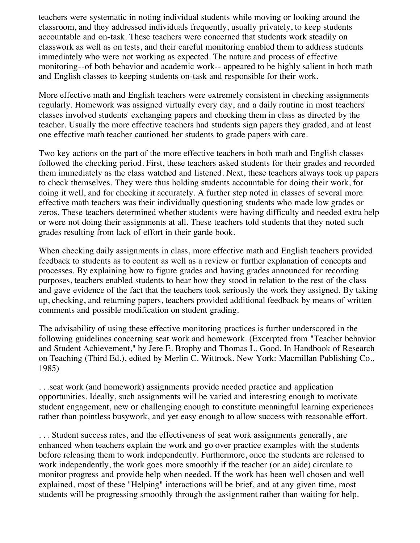teachers were systematic in noting individual students while moving or looking around the classroom, and they addressed individuals frequently, usually privately, to keep students accountable and on-task. These teachers were concerned that students work steadily on classwork as well as on tests, and their careful monitoring enabled them to address students immediately who were not working as expected. The nature and process of effective monitoring--of both behavior and academic work-- appeared to be highly salient in both math and English classes to keeping students on-task and responsible for their work.

More effective math and English teachers were extremely consistent in checking assignments regularly. Homework was assigned virtually every day, and a daily routine in most teachers' classes involved students' exchanging papers and checking them in class as directed by the teacher. Usually the more effective teachers had students sign papers they graded, and at least one effective math teacher cautioned her students to grade papers with care.

Two key actions on the part of the more effective teachers in both math and English classes followed the checking period. First, these teachers asked students for their grades and recorded them immediately as the class watched and listened. Next, these teachers always took up papers to check themselves. They were thus holding students accountable for doing their work, for doing it well, and for checking it accurately. A further step noted in classes of several more effective math teachers was their individually questioning students who made low grades or zeros. These teachers determined whether students were having difficulty and needed extra help or were not doing their assignments at all. These teachers told students that they noted such grades resulting from lack of effort in their garde book.

When checking daily assignments in class, more effective math and English teachers provided feedback to students as to content as well as a review or further explanation of concepts and processes. By explaining how to figure grades and having grades announced for recording purposes, teachers enabled students to hear how they stood in relation to the rest of the class and gave evidence of the fact that the teachers took seriously the work they assigned. By taking up, checking, and returning papers, teachers provided additional feedback by means of written comments and possible modification on student grading.

The advisability of using these effective monitoring practices is further underscored in the following guidelines concerning seat work and homework. (Excerpted from "Teacher behavior and Student Achievement," by Jere E. Brophy and Thomas L. Good. In Handbook of Research on Teaching (Third Ed.), edited by Merlin C. Wittrock. New York: Macmillan Publishing Co., 1985)

. . .seat work (and homework) assignments provide needed practice and application opportunities. Ideally, such assignments will be varied and interesting enough to motivate student engagement, new or challenging enough to constitute meaningful learning experiences rather than pointless busywork, and yet easy enough to allow success with reasonable effort.

. . . Student success rates, and the effectiveness of seat work assignments generally, are enhanced when teachers explain the work and go over practice examples with the students before releasing them to work independently. Furthermore, once the students are released to work independently, the work goes more smoothly if the teacher (or an aide) circulate to monitor progress and provide help when needed. If the work has been well chosen and well explained, most of these "Helping" interactions will be brief, and at any given time, most students will be progressing smoothly through the assignment rather than waiting for help.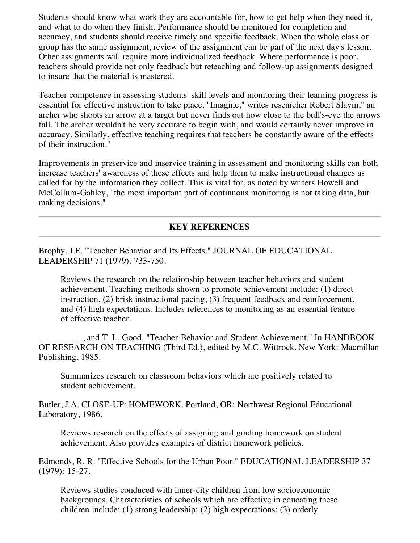Students should know what work they are accountable for, how to get help when they need it, and what to do when they finish. Performance should be monitored for completion and accuracy, and students should receive timely and specific feedback. When the whole class or group has the same assignment, review of the assignment can be part of the next day's lesson. Other assignments will require more individualized feedback. Where performance is poor, teachers should provide not only feedback but reteaching and follow-up assignments designed to insure that the material is mastered.

Teacher competence in assessing students' skill levels and monitoring their learning progress is essential for effective instruction to take place. "Imagine," writes researcher Robert Slavin," an archer who shoots an arrow at a target but never finds out how close to the bull's-eye the arrows fall. The archer wouldn't be very accurate to begin with, and would certainly never improve in accuracy. Similarly, effective teaching requires that teachers be constantly aware of the effects of their instruction."

Improvements in preservice and inservice training in assessment and monitoring skills can both increase teachers' awareness of these effects and help them to make instructional changes as called for by the information they collect. This is vital for, as noted by writers Howell and McCollum-Gahley, "the most important part of continuous monitoring is not taking data, but making decisions."

#### **KEY REFERENCES**

Brophy, J.E. "Teacher Behavior and Its Effects." JOURNAL OF EDUCATIONAL LEADERSHIP 71 (1979): 733-750.

Reviews the research on the relationship between teacher behaviors and student achievement. Teaching methods shown to promote achievement include: (1) direct instruction, (2) brisk instructional pacing, (3) frequent feedback and reinforcement, and (4) high expectations. Includes references to monitoring as an essential feature of effective teacher.

\_\_\_\_\_\_\_\_\_\_, and T. L. Good. "Teacher Behavior and Student Achievement." In HANDBOOK OF RESEARCH ON TEACHING (Third Ed.), edited by M.C. Wittrock. New York: Macmillan Publishing, 1985.

Summarizes research on classroom behaviors which are positively related to student achievement.

Butler, J.A. CLOSE-UP: HOMEWORK. Portland, OR: Northwest Regional Educational Laboratory, 1986.

Reviews research on the effects of assigning and grading homework on student achievement. Also provides examples of district homework policies.

Edmonds, R. R. "Effective Schools for the Urban Poor." EDUCATIONAL LEADERSHIP 37 (1979): 15-27.

Reviews studies conduced with inner-city children from low socioeconomic backgrounds. Characteristics of schools which are effective in educating these children include: (1) strong leadership; (2) high expectations; (3) orderly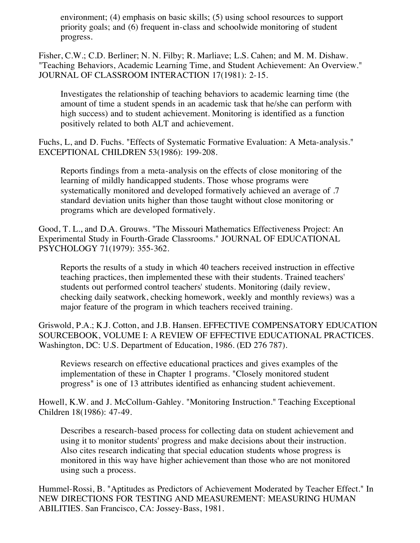environment; (4) emphasis on basic skills; (5) using school resources to support priority goals; and (6) frequent in-class and schoolwide monitoring of student progress.

Fisher, C.W.; C.D. Berliner; N. N. Filby; R. Marliave; L.S. Cahen; and M. M. Dishaw. "Teaching Behaviors, Academic Learning Time, and Student Achievement: An Overview." JOURNAL OF CLASSROOM INTERACTION 17(1981): 2-15.

Investigates the relationship of teaching behaviors to academic learning time (the amount of time a student spends in an academic task that he/she can perform with high success) and to student achievement. Monitoring is identified as a function positively related to both ALT and achievement.

Fuchs, L, and D. Fuchs. "Effects of Systematic Formative Evaluation: A Meta-analysis." EXCEPTIONAL CHILDREN 53(1986): 199-208.

Reports findings from a meta-analysis on the effects of close monitoring of the learning of mildly handicapped students. Those whose programs were systematically monitored and developed formatively achieved an average of .7 standard deviation units higher than those taught without close monitoring or programs which are developed formatively.

Good, T. L., and D.A. Grouws. "The Missouri Mathematics Effectiveness Project: An Experimental Study in Fourth-Grade Classrooms." JOURNAL OF EDUCATIONAL PSYCHOLOGY 71(1979): 355-362.

Reports the results of a study in which 40 teachers received instruction in effective teaching practices, then implemented these with their students. Trained teachers' students out performed control teachers' students. Monitoring (daily review, checking daily seatwork, checking homework, weekly and monthly reviews) was a major feature of the program in which teachers received training.

Griswold, P.A.; K.J. Cotton, and J.B. Hansen. EFFECTIVE COMPENSATORY EDUCATION SOURCEBOOK, VOLUME I: A REVIEW OF EFFECTIVE EDUCATIONAL PRACTICES. Washington, DC: U.S. Department of Education, 1986. (ED 276 787).

Reviews research on effective educational practices and gives examples of the implementation of these in Chapter 1 programs. "Closely monitored student progress" is one of 13 attributes identified as enhancing student achievement.

Howell, K.W. and J. McCollum-Gahley. "Monitoring Instruction." Teaching Exceptional Children 18(1986): 47-49.

Describes a research-based process for collecting data on student achievement and using it to monitor students' progress and make decisions about their instruction. Also cites research indicating that special education students whose progress is monitored in this way have higher achievement than those who are not monitored using such a process.

Hummel-Rossi, B. "Aptitudes as Predictors of Achievement Moderated by Teacher Effect." In NEW DIRECTIONS FOR TESTING AND MEASUREMENT: MEASURING HUMAN ABILITIES. San Francisco, CA: Jossey-Bass, 1981.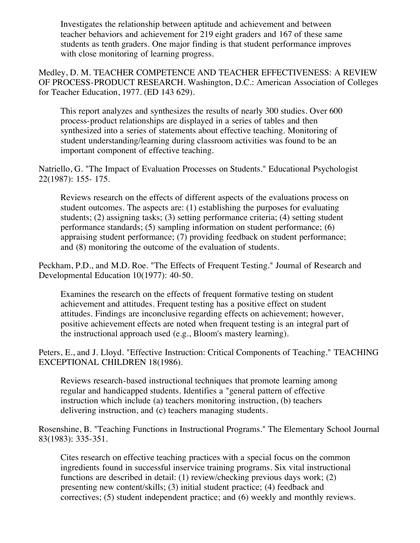Investigates the relationship between aptitude and achievement and between teacher behaviors and achievement for 219 eight graders and 167 of these same students as tenth graders. One major finding is that student performance improves with close monitoring of learning progress.

Medley, D. M. TEACHER COMPETENCE AND TEACHER EFFECTIVENESS: A REVIEW OF PROCESS-PRODUCT RESEARCH. Washington, D.C.: American Association of Colleges for Teacher Education, 1977. (ED 143 629).

This report analyzes and synthesizes the results of nearly 300 studies. Over 600 process-product relationships are displayed in a series of tables and then synthesized into a series of statements about effective teaching. Monitoring of student understanding/learning during classroom activities was found to be an important component of effective teaching.

Natriello, G. "The Impact of Evaluation Processes on Students." Educational Psychologist 22(1987): 155- 175.

Reviews research on the effects of different aspects of the evaluations process on student outcomes. The aspects are: (1) establishing the purposes for evaluating students; (2) assigning tasks; (3) setting performance criteria; (4) setting student performance standards; (5) sampling information on student performance; (6) appraising student performance; (7) providing feedback on student performance; and (8) monitoring the outcome of the evaluation of students.

Peckham, P.D., and M.D. Roe. "The Effects of Frequent Testing." Journal of Research and Developmental Education 10(1977): 40-50.

Examines the research on the effects of frequent formative testing on student achievement and attitudes. Frequent testing has a positive effect on student attitudes. Findings are inconclusive regarding effects on achievement; however, positive achievement effects are noted when frequent testing is an integral part of the instructional approach used (e.g., Bloom's mastery learning).

Peters, E., and J. Lloyd. "Effective Instruction: Critical Components of Teaching." TEACHING EXCEPTIONAL CHILDREN 18(1986).

Reviews research-based instructional techniques that promote learning among regular and handicapped students. Identifies a "general pattern of effective instruction which include (a) teachers monitoring instruction, (b) teachers delivering instruction, and (c) teachers managing students.

Rosenshine, B. "Teaching Functions in Instructional Programs." The Elementary School Journal 83(1983): 335-351.

Cites research on effective teaching practices with a special focus on the common ingredients found in successful inservice training programs. Six vital instructional functions are described in detail: (1) review/checking previous days work; (2) presenting new content/skills; (3) initial student practice; (4) feedback and correctives; (5) student independent practice; and (6) weekly and monthly reviews.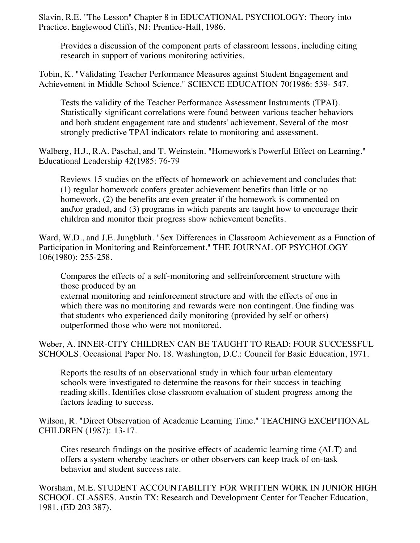Slavin, R.E. "The Lesson" Chapter 8 in EDUCATIONAL PSYCHOLOGY: Theory into Practice. Englewood Cliffs, NJ: Prentice-Hall, 1986.

Provides a discussion of the component parts of classroom lessons, including citing research in support of various monitoring activities.

Tobin, K. "Validating Teacher Performance Measures against Student Engagement and Achievement in Middle School Science." SCIENCE EDUCATION 70(1986: 539- 547.

Tests the validity of the Teacher Performance Assessment Instruments (TPAI). Statistically significant correlations were found between various teacher behaviors and both student engagement rate and students' achievement. Several of the most strongly predictive TPAI indicators relate to monitoring and assessment.

Walberg, H.J., R.A. Paschal, and T. Weinstein. "Homework's Powerful Effect on Learning." Educational Leadership 42(1985: 76-79

Reviews 15 studies on the effects of homework on achievement and concludes that: (1) regular homework confers greater achievement benefits than little or no homework, (2) the benefits are even greater if the homework is commented on and\or graded, and (3) programs in which parents are taught how to encourage their children and monitor their progress show achievement benefits.

Ward, W.D., and J.E. Jungbluth. "Sex Differences in Classroom Achievement as a Function of Participation in Monitoring and Reinforcement." THE JOURNAL OF PSYCHOLOGY 106(1980): 255-258.

Compares the effects of a self-monitoring and selfreinforcement structure with those produced by an

external monitoring and reinforcement structure and with the effects of one in which there was no monitoring and rewards were non contingent. One finding was that students who experienced daily monitoring (provided by self or others) outperformed those who were not monitored.

Weber, A. INNER-CITY CHILDREN CAN BE TAUGHT TO READ: FOUR SUCCESSFUL SCHOOLS. Occasional Paper No. 18. Washington, D.C.: Council for Basic Education, 1971.

Reports the results of an observational study in which four urban elementary schools were investigated to determine the reasons for their success in teaching reading skills. Identifies close classroom evaluation of student progress among the factors leading to success.

Wilson, R. "Direct Observation of Academic Learning Time." TEACHING EXCEPTIONAL CHILDREN (1987): 13-17.

Cites research findings on the positive effects of academic learning time (ALT) and offers a system whereby teachers or other observers can keep track of on-task behavior and student success rate.

Worsham, M.E. STUDENT ACCOUNTABILITY FOR WRITTEN WORK IN JUNIOR HIGH SCHOOL CLASSES. Austin TX: Research and Development Center for Teacher Education, 1981. (ED 203 387).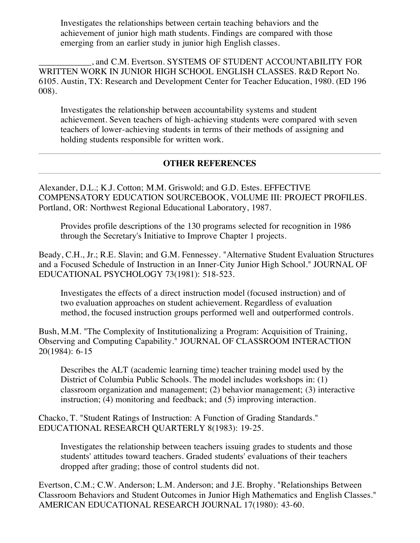Investigates the relationships between certain teaching behaviors and the achievement of junior high math students. Findings are compared with those emerging from an earlier study in junior high English classes.

\_\_\_\_\_\_\_\_\_\_\_\_, and C.M. Evertson. SYSTEMS OF STUDENT ACCOUNTABILITY FOR WRITTEN WORK IN JUNIOR HIGH SCHOOL ENGLISH CLASSES. R&D Report No. 6105. Austin, TX: Research and Development Center for Teacher Education, 1980. (ED 196 008).

Investigates the relationship between accountability systems and student achievement. Seven teachers of high-achieving students were compared with seven teachers of lower-achieving students in terms of their methods of assigning and holding students responsible for written work.

#### **OTHER REFERENCES**

Alexander, D.L.; K.J. Cotton; M.M. Griswold; and G.D. Estes. EFFECTIVE COMPENSATORY EDUCATION SOURCEBOOK, VOLUME III: PROJECT PROFILES. Portland, OR: Northwest Regional Educational Laboratory, 1987.

Provides profile descriptions of the 130 programs selected for recognition in 1986 through the Secretary's Initiative to Improve Chapter 1 projects.

Beady, C.H., Jr.; R.E. Slavin; and G.M. Fennessey. "Alternative Student Evaluation Structures and a Focused Schedule of Instruction in an Inner-City Junior High School." JOURNAL OF EDUCATIONAL PSYCHOLOGY 73(1981): 518-523.

Investigates the effects of a direct instruction model (focused instruction) and of two evaluation approaches on student achievement. Regardless of evaluation method, the focused instruction groups performed well and outperformed controls.

Bush, M.M. "The Complexity of Institutionalizing a Program: Acquisition of Training, Observing and Computing Capability." JOURNAL OF CLASSROOM INTERACTION 20(1984): 6-15

Describes the ALT (academic learning time) teacher training model used by the District of Columbia Public Schools. The model includes workshops in: (1) classroom organization and management; (2) behavior management; (3) interactive instruction; (4) monitoring and feedback; and (5) improving interaction.

Chacko, T. "Student Ratings of Instruction: A Function of Grading Standards." EDUCATIONAL RESEARCH QUARTERLY 8(1983): 19-25.

Investigates the relationship between teachers issuing grades to students and those students' attitudes toward teachers. Graded students' evaluations of their teachers dropped after grading; those of control students did not.

Evertson, C.M.; C.W. Anderson; L.M. Anderson; and J.E. Brophy. "Relationships Between Classroom Behaviors and Student Outcomes in Junior High Mathematics and English Classes." AMERICAN EDUCATIONAL RESEARCH JOURNAL 17(1980): 43-60.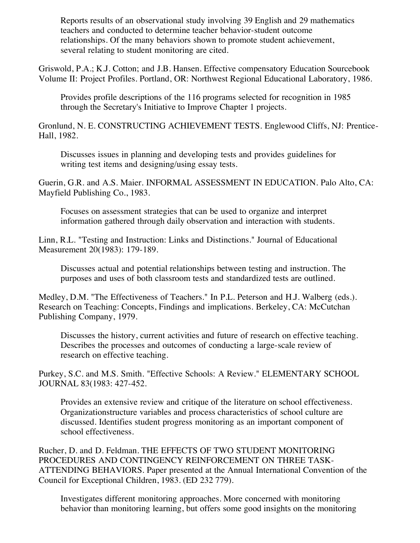Reports results of an observational study involving 39 English and 29 mathematics teachers and conducted to determine teacher behavior-student outcome relationships. Of the many behaviors shown to promote student achievement, several relating to student monitoring are cited.

Griswold, P.A.; K.J. Cotton; and J.B. Hansen. Effective compensatory Education Sourcebook Volume II: Project Profiles. Portland, OR: Northwest Regional Educational Laboratory, 1986.

Provides profile descriptions of the 116 programs selected for recognition in 1985 through the Secretary's Initiative to Improve Chapter 1 projects.

Gronlund, N. E. CONSTRUCTING ACHIEVEMENT TESTS. Englewood Cliffs, NJ: Prentice-Hall, 1982.

Discusses issues in planning and developing tests and provides guidelines for writing test items and designing/using essay tests.

Guerin, G.R. and A.S. Maier. INFORMAL ASSESSMENT IN EDUCATION. Palo Alto, CA: Mayfield Publishing Co., 1983.

Focuses on assessment strategies that can be used to organize and interpret information gathered through daily observation and interaction with students.

Linn, R.L. "Testing and Instruction: Links and Distinctions." Journal of Educational Measurement 20(1983): 179-189.

Discusses actual and potential relationships between testing and instruction. The purposes and uses of both classroom tests and standardized tests are outlined.

Medley, D.M. "The Effectiveness of Teachers." In P.L. Peterson and H.J. Walberg (eds.). Research on Teaching: Concepts, Findings and implications. Berkeley, CA: McCutchan Publishing Company, 1979.

Discusses the history, current activities and future of research on effective teaching. Describes the processes and outcomes of conducting a large-scale review of research on effective teaching.

Purkey, S.C. and M.S. Smith. "Effective Schools: A Review." ELEMENTARY SCHOOL JOURNAL 83(1983: 427-452.

Provides an extensive review and critique of the literature on school effectiveness. Organizationstructure variables and process characteristics of school culture are discussed. Identifies student progress monitoring as an important component of school effectiveness.

Rucher, D. and D. Feldman. THE EFFECTS OF TWO STUDENT MONITORING PROCEDURES AND CONTINGENCY REINFORCEMENT ON THREE TASK-ATTENDING BEHAVIORS. Paper presented at the Annual International Convention of the Council for Exceptional Children, 1983. (ED 232 779).

Investigates different monitoring approaches. More concerned with monitoring behavior than monitoring learning, but offers some good insights on the monitoring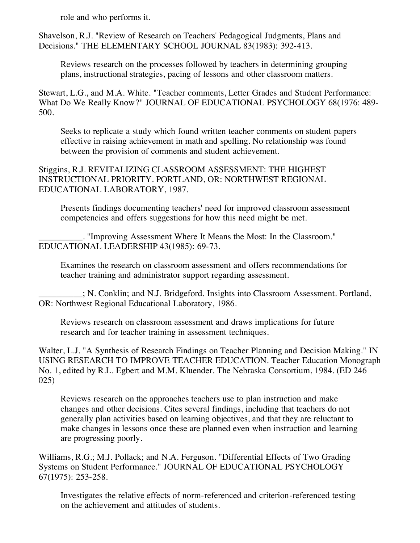role and who performs it.

Shavelson, R.J. "Review of Research on Teachers' Pedagogical Judgments, Plans and Decisions." THE ELEMENTARY SCHOOL JOURNAL 83(1983): 392-413.

Reviews research on the processes followed by teachers in determining grouping plans, instructional strategies, pacing of lessons and other classroom matters.

Stewart, L.G., and M.A. White. "Teacher comments, Letter Grades and Student Performance: What Do We Really Know?" JOURNAL OF EDUCATIONAL PSYCHOLOGY 68(1976: 489- 500.

Seeks to replicate a study which found written teacher comments on student papers effective in raising achievement in math and spelling. No relationship was found between the provision of comments and student achievement.

Stiggins, R.J. REVITALIZING CLASSROOM ASSESSMENT: THE HIGHEST INSTRUCTIONAL PRIORITY. PORTLAND, OR: NORTHWEST REGIONAL EDUCATIONAL LABORATORY, 1987.

Presents findings documenting teachers' need for improved classroom assessment competencies and offers suggestions for how this need might be met.

\_\_\_\_\_\_\_\_\_\_. "Improving Assessment Where It Means the Most: In the Classroom." EDUCATIONAL LEADERSHIP 43(1985): 69-73.

Examines the research on classroom assessment and offers recommendations for teacher training and administrator support regarding assessment.

\_\_\_\_\_\_\_\_\_\_; N. Conklin; and N.J. Bridgeford. Insights into Classroom Assessment. Portland, OR: Northwest Regional Educational Laboratory, 1986.

Reviews research on classroom assessment and draws implications for future research and for teacher training in assessment techniques.

Walter, L.J. "A Synthesis of Research Findings on Teacher Planning and Decision Making." IN USING RESEARCH TO IMPROVE TEACHER EDUCATION. Teacher Education Monograph No. 1, edited by R.L. Egbert and M.M. Kluender. The Nebraska Consortium, 1984. (ED 246 025)

Reviews research on the approaches teachers use to plan instruction and make changes and other decisions. Cites several findings, including that teachers do not generally plan activities based on learning objectives, and that they are reluctant to make changes in lessons once these are planned even when instruction and learning are progressing poorly.

Williams, R.G.; M.J. Pollack; and N.A. Ferguson. "Differential Effects of Two Grading Systems on Student Performance." JOURNAL OF EDUCATIONAL PSYCHOLOGY 67(1975): 253-258.

Investigates the relative effects of norm-referenced and criterion-referenced testing on the achievement and attitudes of students.